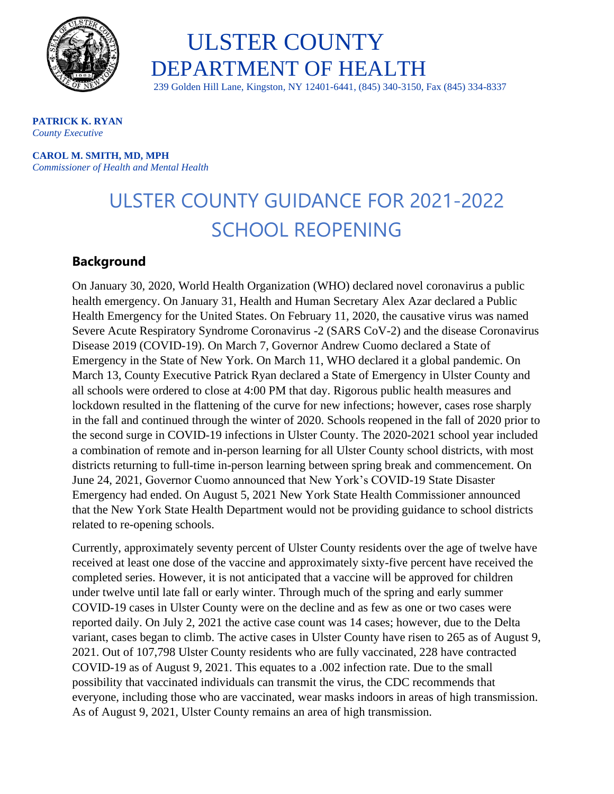

 ULSTER COUNTY DEPARTMENT OF HEALTH

239 Golden Hill Lane, Kingston, NY 12401-6441, (845) 340-3150, Fax (845) 334-8337

**PATRICK K. RYAN**  *County Executive* 

**CAROL M. SMITH, MD, MPH** *Commissioner of Health and Mental Health*

## ULSTER COUNTY GUIDANCE FOR 2021-2022 SCHOOL REOPENING

## **Background**

On January 30, 2020, World Health Organization (WHO) declared novel coronavirus a public health emergency. On January 31, Health and Human Secretary Alex Azar declared a Public Health Emergency for the United States. On February 11, 2020, the causative virus was named Severe Acute Respiratory Syndrome Coronavirus -2 (SARS CoV-2) and the disease Coronavirus Disease 2019 (COVID-19). On March 7, Governor Andrew Cuomo declared a State of Emergency in the State of New York. On March 11, WHO declared it a global pandemic. On March 13, County Executive Patrick Ryan declared a State of Emergency in Ulster County and all schools were ordered to close at 4:00 PM that day. Rigorous public health measures and lockdown resulted in the flattening of the curve for new infections; however, cases rose sharply in the fall and continued through the winter of 2020. Schools reopened in the fall of 2020 prior to the second surge in COVID-19 infections in Ulster County. The 2020-2021 school year included a combination of remote and in-person learning for all Ulster County school districts, with most districts returning to full-time in-person learning between spring break and commencement. On June 24, 2021, Governor Cuomo announced that New York's COVID-19 State Disaster Emergency had ended. On August 5, 2021 New York State Health Commissioner announced that the New York State Health Department would not be providing guidance to school districts related to re-opening schools.

Currently, approximately seventy percent of Ulster County residents over the age of twelve have received at least one dose of the vaccine and approximately sixty-five percent have received the completed series. However, it is not anticipated that a vaccine will be approved for children under twelve until late fall or early winter. Through much of the spring and early summer COVID-19 cases in Ulster County were on the decline and as few as one or two cases were reported daily. On July 2, 2021 the active case count was 14 cases; however, due to the Delta variant, cases began to climb. The active cases in Ulster County have risen to 265 as of August 9, 2021. Out of 107,798 Ulster County residents who are fully vaccinated, 228 have contracted COVID-19 as of August 9, 2021. This equates to a .002 infection rate. Due to the small possibility that vaccinated individuals can transmit the virus, the CDC recommends that everyone, including those who are vaccinated, wear masks indoors in areas of high transmission. As of August 9, 2021, Ulster County remains an area of high transmission.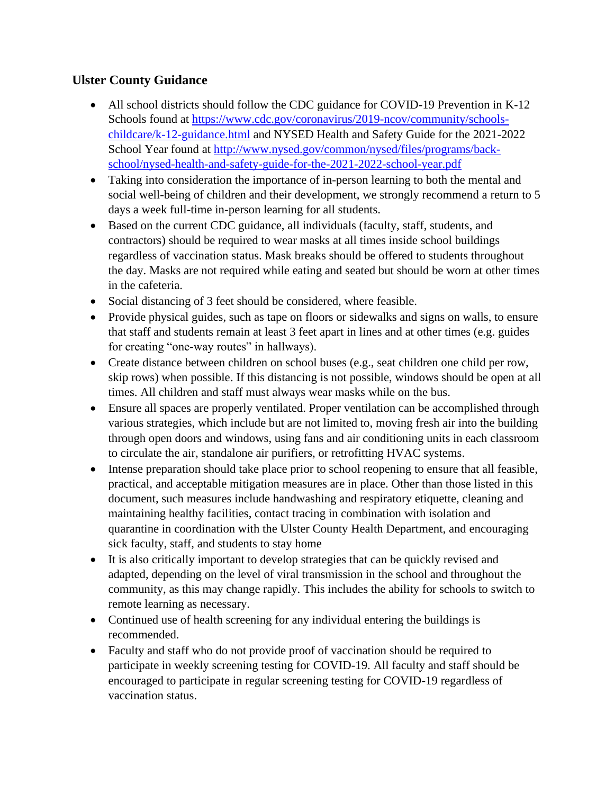## **Ulster County Guidance**

- All school districts should follow the CDC guidance for COVID-19 Prevention in K-12 Schools found at [https://www.cdc.gov/coronavirus/2019-ncov/community/schools](https://www.cdc.gov/coronavirus/2019-ncov/community/schools-childcare/k-12-guidance.html)[childcare/k-12-guidance.html](https://www.cdc.gov/coronavirus/2019-ncov/community/schools-childcare/k-12-guidance.html) and NYSED Health and Safety Guide for the 2021-2022 School Year found at [http://www.nysed.gov/common/nysed/files/programs/back](http://www.nysed.gov/common/nysed/files/programs/back-school/nysed-health-and-safety-guide-for-the-2021-2022-school-year.pdf)[school/nysed-health-and-safety-guide-for-the-2021-2022-school-year.pdf](http://www.nysed.gov/common/nysed/files/programs/back-school/nysed-health-and-safety-guide-for-the-2021-2022-school-year.pdf)
- Taking into consideration the importance of in-person learning to both the mental and social well-being of children and their development, we strongly recommend a return to 5 days a week full-time in-person learning for all students.
- Based on the current CDC guidance, all individuals (faculty, staff, students, and contractors) should be required to wear masks at all times inside school buildings regardless of vaccination status. Mask breaks should be offered to students throughout the day. Masks are not required while eating and seated but should be worn at other times in the cafeteria.
- Social distancing of 3 feet should be considered, where feasible.
- Provide physical guides, such as tape on floors or sidewalks and signs on walls, to ensure that staff and students remain at least 3 feet apart in lines and at other times (e.g. guides for creating "one-way routes" in hallways).
- Create distance between children on school buses (e.g., seat children one child per row, skip rows) when possible. If this distancing is not possible, windows should be open at all times. All children and staff must always wear masks while on the bus.
- Ensure all spaces are properly ventilated. Proper ventilation can be accomplished through various strategies, which include but are not limited to, moving fresh air into the building through open doors and windows, using fans and air conditioning units in each classroom to circulate the air, standalone air purifiers, or retrofitting HVAC systems.
- Intense preparation should take place prior to school reopening to ensure that all feasible, practical, and acceptable mitigation measures are in place. Other than those listed in this document, such measures include handwashing and respiratory etiquette, cleaning and maintaining healthy facilities, contact tracing in combination with isolation and quarantine in coordination with the Ulster County Health Department, and encouraging sick faculty, staff, and students to stay home
- It is also critically important to develop strategies that can be quickly revised and adapted, depending on the level of viral transmission in the school and throughout the community, as this may change rapidly. This includes the ability for schools to switch to remote learning as necessary.
- Continued use of health screening for any individual entering the buildings is recommended.
- Faculty and staff who do not provide proof of vaccination should be required to participate in weekly screening testing for COVID-19. All faculty and staff should be encouraged to participate in regular screening testing for COVID-19 regardless of vaccination status.